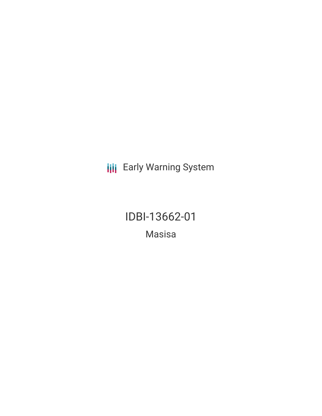**III** Early Warning System

IDBI-13662-01

Masisa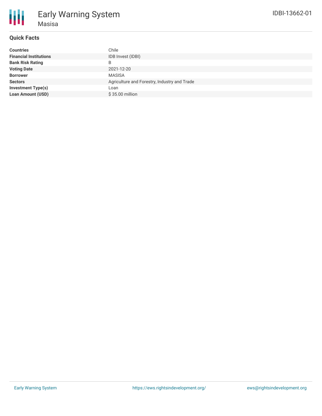# **Quick Facts**

| <b>Countries</b>              | Chile                                        |
|-------------------------------|----------------------------------------------|
| <b>Financial Institutions</b> | IDB Invest (IDBI)                            |
| <b>Bank Risk Rating</b>       | B                                            |
| <b>Voting Date</b>            | 2021-12-20                                   |
| <b>Borrower</b>               | MASISA                                       |
| <b>Sectors</b>                | Agriculture and Forestry, Industry and Trade |
| <b>Investment Type(s)</b>     | Loan                                         |
| <b>Loan Amount (USD)</b>      | \$35.00 million                              |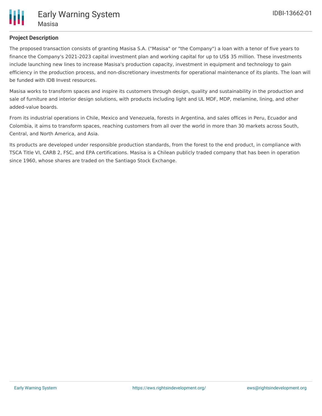

## **Project Description**

The proposed transaction consists of granting Masisa S.A. ("Masisa" or "the Company") a loan with a tenor of five years to finance the Company's 2021-2023 capital investment plan and working capital for up to US\$ 35 million. These investments include launching new lines to increase Masisa's production capacity, investment in equipment and technology to gain efficiency in the production process, and non-discretionary investments for operational maintenance of its plants. The loan will be funded with IDB Invest resources.

Masisa works to transform spaces and inspire its customers through design, quality and sustainability in the production and sale of furniture and interior design solutions, with products including light and UL MDF, MDP, melamine, lining, and other added-value boards.

From its industrial operations in Chile, Mexico and Venezuela, forests in Argentina, and sales offices in Peru, Ecuador and Colombia, it aims to transform spaces, reaching customers from all over the world in more than 30 markets across South, Central, and North America, and Asia.

Its products are developed under responsible production standards, from the forest to the end product, in compliance with TSCA Title VI, CARB 2, FSC, and EPA certifications. Masisa is a Chilean publicly traded company that has been in operation since 1960, whose shares are traded on the Santiago Stock Exchange.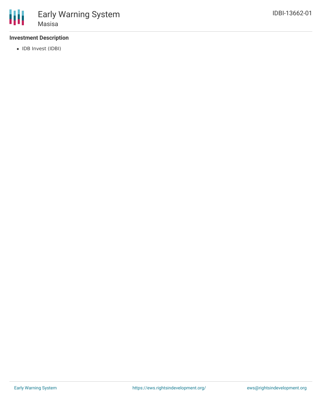## **Investment Description**

• IDB Invest (IDBI)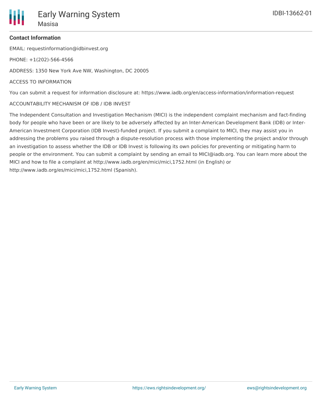

## **Contact Information**

EMAIL: requestinformation@idbinvest.org

PHONE: +1(202)-566-4566

ADDRESS: 1350 New York Ave NW, Washington, DC 20005

#### ACCESS TO INFORMATION

You can submit a request for information disclosure at: https://www.iadb.org/en/access-information/information-request

#### ACCOUNTABILITY MECHANISM OF IDB / IDB INVEST

The Independent Consultation and Investigation Mechanism (MICI) is the independent complaint mechanism and fact-finding body for people who have been or are likely to be adversely affected by an Inter-American Development Bank (IDB) or Inter-American Investment Corporation (IDB Invest)-funded project. If you submit a complaint to MICI, they may assist you in addressing the problems you raised through a dispute-resolution process with those implementing the project and/or through an investigation to assess whether the IDB or IDB Invest is following its own policies for preventing or mitigating harm to people or the environment. You can submit a complaint by sending an email to MICI@iadb.org. You can learn more about the MICI and how to file a complaint at http://www.iadb.org/en/mici/mici,1752.html (in English) or http://www.iadb.org/es/mici/mici,1752.html (Spanish).